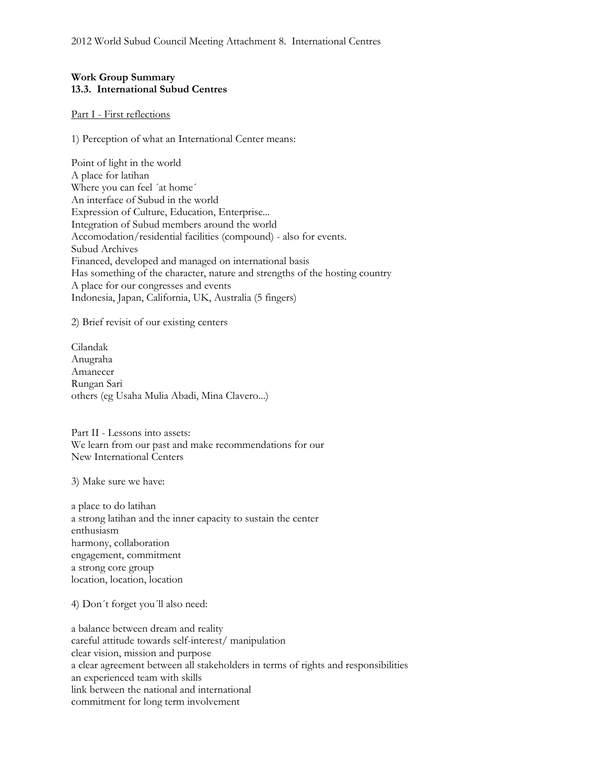## **Work Group Summary 13.3. International Subud Centres**

## Part I - First reflections

1) Perception of what an International Center means:

Point of light in the world A place for latihan Where you can feel ´at home´ An interface of Subud in the world Expression of Culture, Education, Enterprise... Integration of Subud members around the world Accomodation/residential facilities (compound) - also for events. Subud Archives Financed, developed and managed on international basis Has something of the character, nature and strengths of the hosting country A place for our congresses and events Indonesia, Japan, California, UK, Australia (5 fingers)

2) Brief revisit of our existing centers

Cilandak Anugraha Amanecer Rungan Sari others (eg Usaha Mulia Abadi, Mina Clavero...)

Part II - Lessons into assets: We learn from our past and make recommendations for our New International Centers

3) Make sure we have:

a place to do latihan a strong latihan and the inner capacity to sustain the center enthusiasm harmony, collaboration engagement, commitment a strong core group location, location, location

4) Don´t forget you´ll also need:

a balance between dream and reality careful attitude towards self-interest/ manipulation clear vision, mission and purpose a clear agreement between all stakeholders in terms of rights and responsibilities an experienced team with skills link between the national and international commitment for long term involvement